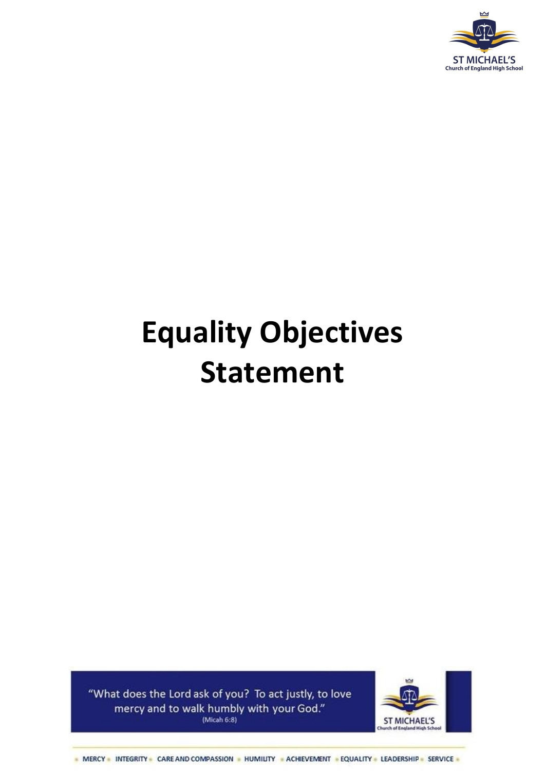

# **Equality Objectives Statement**

"What does the Lord ask of you? To act justly, to love mercy and to walk humbly with your God." (Micah 6:8)



- MERCY - INTEGRITY - CARE AND COMPASSION - HUMILITY - ACHIEVEMENT - EQUALITY - LEADERSHIP - SERVICE -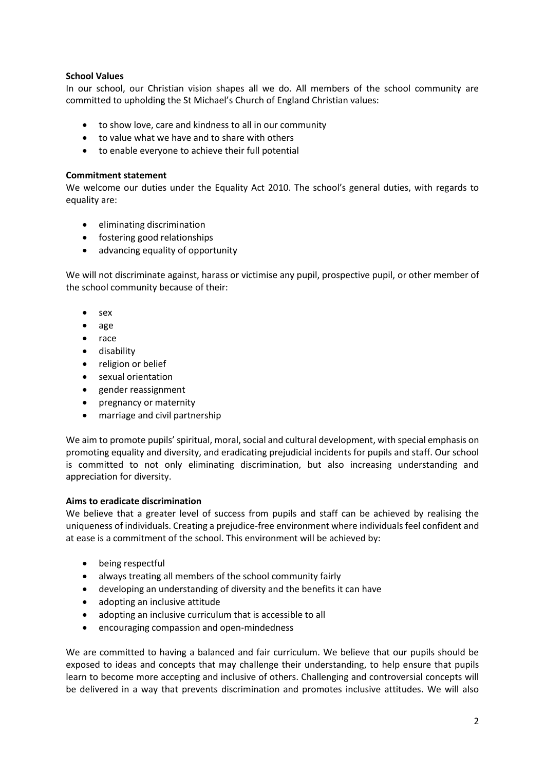## **School Values**

In our school, our Christian vision shapes all we do. All members of the school community are committed to upholding the St Michael's Church of England Christian values:

- to show love, care and kindness to all in our community
- to value what we have and to share with others
- to enable everyone to achieve their full potential

#### **Commitment statement**

We welcome our duties under the Equality Act 2010. The school's general duties, with regards to equality are:

- eliminating discrimination
- fostering good relationships
- advancing equality of opportunity

We will not discriminate against, harass or victimise any pupil, prospective pupil, or other member of the school community because of their:

- sex
- age
- $\bullet$  race
- disability
- religion or belief
- sexual orientation
- gender reassignment
- pregnancy or maternity
- marriage and civil partnership

We aim to promote pupils' spiritual, moral, social and cultural development, with special emphasis on promoting equality and diversity, and eradicating prejudicial incidents for pupils and staff. Our school is committed to not only eliminating discrimination, but also increasing understanding and appreciation for diversity.

#### **Aims to eradicate discrimination**

We believe that a greater level of success from pupils and staff can be achieved by realising the uniqueness of individuals. Creating a prejudice-free environment where individuals feel confident and at ease is a commitment of the school. This environment will be achieved by:

- being respectful
- always treating all members of the school community fairly
- developing an understanding of diversity and the benefits it can have
- adopting an inclusive attitude
- adopting an inclusive curriculum that is accessible to all
- encouraging compassion and open-mindedness

We are committed to having a balanced and fair curriculum. We believe that our pupils should be exposed to ideas and concepts that may challenge their understanding, to help ensure that pupils learn to become more accepting and inclusive of others. Challenging and controversial concepts will be delivered in a way that prevents discrimination and promotes inclusive attitudes. We will also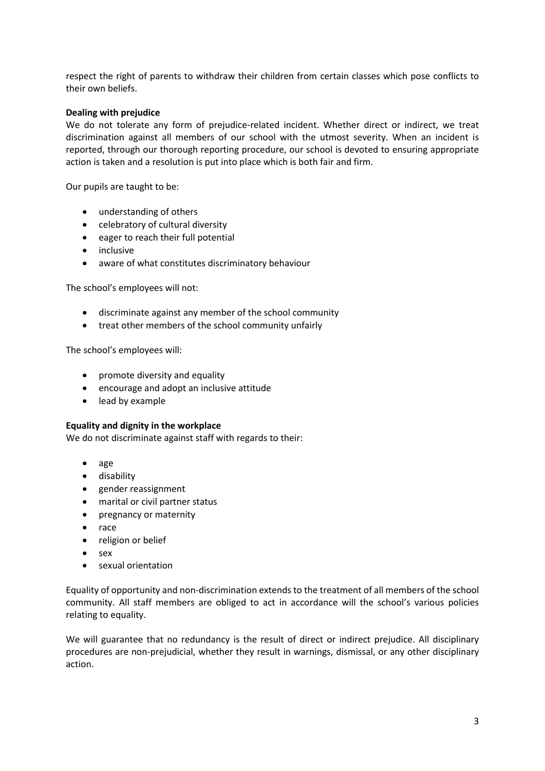respect the right of parents to withdraw their children from certain classes which pose conflicts to their own beliefs.

## **Dealing with prejudice**

We do not tolerate any form of prejudice-related incident. Whether direct or indirect, we treat discrimination against all members of our school with the utmost severity. When an incident is reported, through our thorough reporting procedure, our school is devoted to ensuring appropriate action is taken and a resolution is put into place which is both fair and firm.

Our pupils are taught to be:

- understanding of others
- celebratory of cultural diversity
- eager to reach their full potential
- inclusive
- aware of what constitutes discriminatory behaviour

The school's employees will not:

- discriminate against any member of the school community
- treat other members of the school community unfairly

The school's employees will:

- promote diversity and equality
- encourage and adopt an inclusive attitude
- lead by example

#### **Equality and dignity in the workplace**

We do not discriminate against staff with regards to their:

- age
- disability
- gender reassignment
- marital or civil partner status
- pregnancy or maternity
- race
- religion or belief
- $\bullet$  sex
- sexual orientation

Equality of opportunity and non-discrimination extends to the treatment of all members of the school community. All staff members are obliged to act in accordance will the school's various policies relating to equality.

We will guarantee that no redundancy is the result of direct or indirect prejudice. All disciplinary procedures are non-prejudicial, whether they result in warnings, dismissal, or any other disciplinary action.